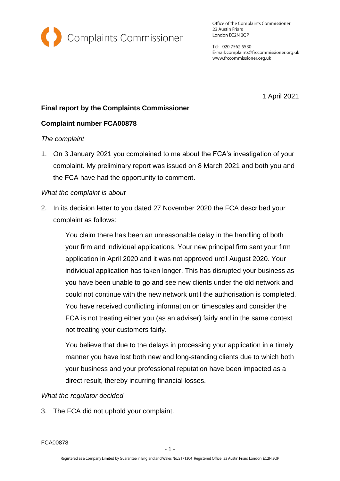

Office of the Complaints Commissioner 23 Austin Friars London EC2N 2QP

Tel: 020 7562 5530 E-mail: complaints@frccommissioner.org.uk www.frccommissioner.org.uk

1 April 2021

# **Final report by the Complaints Commissioner**

## **Complaint number FCA00878**

### *The complaint*

1. On 3 January 2021 you complained to me about the FCA's investigation of your complaint. My preliminary report was issued on 8 March 2021 and both you and the FCA have had the opportunity to comment.

### *What the complaint is about*

2. In its decision letter to you dated 27 November 2020 the FCA described your complaint as follows:

You claim there has been an unreasonable delay in the handling of both your firm and individual applications. Your new principal firm sent your firm application in April 2020 and it was not approved until August 2020. Your individual application has taken longer. This has disrupted your business as you have been unable to go and see new clients under the old network and could not continue with the new network until the authorisation is completed. You have received conflicting information on timescales and consider the FCA is not treating either you (as an adviser) fairly and in the same context not treating your customers fairly.

You believe that due to the delays in processing your application in a timely manner you have lost both new and long-standing clients due to which both your business and your professional reputation have been impacted as a direct result, thereby incurring financial losses.

### *What the regulator decided*

3. The FCA did not uphold your complaint.

FCA00878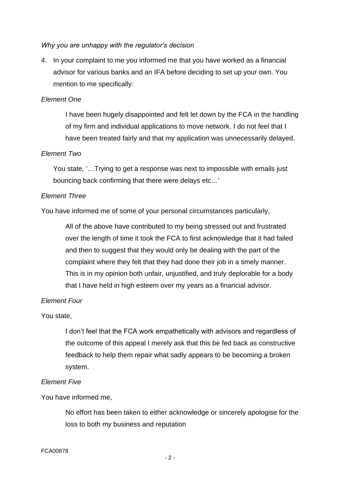### *Why you are unhappy with the regulator's decision*

4. In your complaint to me you informed me that you have worked as a financial advisor for various banks and an IFA before deciding to set up your own. You mention to me specifically:

### *Element One*

I have been hugely disappointed and felt let down by the FCA in the handling of my firm and individual applications to move network. I do not feel that I have been treated fairly and that my application was unnecessarily delayed.

#### *Element Two*

You state*,* '…Trying to get a response was next to impossible with emails just bouncing back confirming that there were delays etc...*'*

#### *Element Three*

You have informed me of some of your personal circumstances particularly,

All of the above have contributed to my being stressed out and frustrated over the length of time it took the FCA to first acknowledge that it had failed and then to suggest that they would only be dealing with the part of the complaint where they felt that they had done their job in a timely manner. This is in my opinion both unfair, unjustified, and truly deplorable for a body that I have held in high esteem over my years as a financial advisor.

### *Element Four*

#### You state,

I don't feel that the FCA work empathetically with advisors and regardless of the outcome of this appeal I merely ask that this be fed back as constructive feedback to help them repair what sadly appears to be becoming a broken system.

#### *Element Five*

You have informed me,

No effort has been taken to either acknowledge or sincerely apologise for the loss to both my business and reputation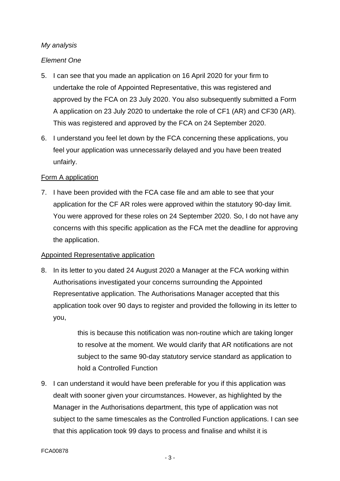# *My analysis*

## *Element One*

- 5. I can see that you made an application on 16 April 2020 for your firm to undertake the role of Appointed Representative, this was registered and approved by the FCA on 23 July 2020. You also subsequently submitted a Form A application on 23 July 2020 to undertake the role of CF1 (AR) and CF30 (AR). This was registered and approved by the FCA on 24 September 2020.
- 6. I understand you feel let down by the FCA concerning these applications, you feel your application was unnecessarily delayed and you have been treated unfairly.

## Form A application

7. I have been provided with the FCA case file and am able to see that your application for the CF AR roles were approved within the statutory 90-day limit. You were approved for these roles on 24 September 2020. So, I do not have any concerns with this specific application as the FCA met the deadline for approving the application.

### Appointed Representative application

8. In its letter to you dated 24 August 2020 a Manager at the FCA working within Authorisations investigated your concerns surrounding the Appointed Representative application. The Authorisations Manager accepted that this application took over 90 days to register and provided the following in its letter to you,

> this is because this notification was non-routine which are taking longer to resolve at the moment. We would clarify that AR notifications are not subject to the same 90-day statutory service standard as application to hold a Controlled Function

9. I can understand it would have been preferable for you if this application was dealt with sooner given your circumstances. However, as highlighted by the Manager in the Authorisations department, this type of application was not subject to the same timescales as the Controlled Function applications. I can see that this application took 99 days to process and finalise and whilst it is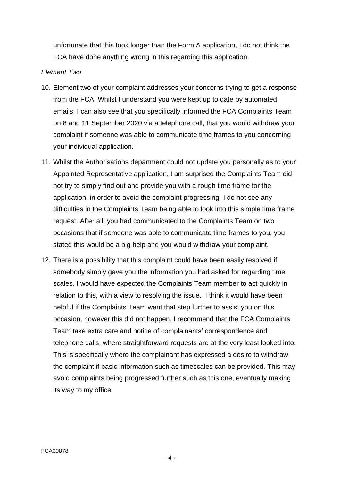unfortunate that this took longer than the Form A application, I do not think the FCA have done anything wrong in this regarding this application.

### *Element Two*

- 10. Element two of your complaint addresses your concerns trying to get a response from the FCA. Whilst I understand you were kept up to date by automated emails, I can also see that you specifically informed the FCA Complaints Team on 8 and 11 September 2020 via a telephone call, that you would withdraw your complaint if someone was able to communicate time frames to you concerning your individual application.
- 11. Whilst the Authorisations department could not update you personally as to your Appointed Representative application, I am surprised the Complaints Team did not try to simply find out and provide you with a rough time frame for the application, in order to avoid the complaint progressing. I do not see any difficulties in the Complaints Team being able to look into this simple time frame request. After all, you had communicated to the Complaints Team on two occasions that if someone was able to communicate time frames to you, you stated this would be a big help and you would withdraw your complaint.
- 12. There is a possibility that this complaint could have been easily resolved if somebody simply gave you the information you had asked for regarding time scales. I would have expected the Complaints Team member to act quickly in relation to this, with a view to resolving the issue. I think it would have been helpful if the Complaints Team went that step further to assist you on this occasion, however this did not happen. I recommend that the FCA Complaints Team take extra care and notice of complainants' correspondence and telephone calls, where straightforward requests are at the very least looked into. This is specifically where the complainant has expressed a desire to withdraw the complaint if basic information such as timescales can be provided. This may avoid complaints being progressed further such as this one, eventually making its way to my office.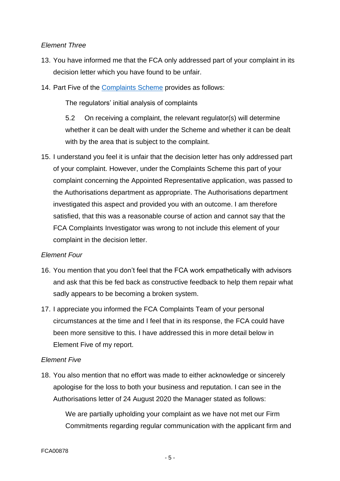### *Element Three*

- 13. You have informed me that the FCA only addressed part of your complaint in its decision letter which you have found to be unfair.
- 14. Part Five of the [Complaints Scheme](https://frccommissioner.org.uk/complaints-scheme/) provides as follows:

The regulators' initial analysis of complaints

5.2 On receiving a complaint, the relevant regulator(s) will determine whether it can be dealt with under the Scheme and whether it can be dealt with by the area that is subject to the complaint.

15. I understand you feel it is unfair that the decision letter has only addressed part of your complaint. However, under the Complaints Scheme this part of your complaint concerning the Appointed Representative application, was passed to the Authorisations department as appropriate. The Authorisations department investigated this aspect and provided you with an outcome. I am therefore satisfied, that this was a reasonable course of action and cannot say that the FCA Complaints Investigator was wrong to not include this element of your complaint in the decision letter.

### *Element Four*

- 16. You mention that you don't feel that the FCA work empathetically with advisors and ask that this be fed back as constructive feedback to help them repair what sadly appears to be becoming a broken system.
- 17. I appreciate you informed the FCA Complaints Team of your personal circumstances at the time and I feel that in its response, the FCA could have been more sensitive to this. I have addressed this in more detail below in Element Five of my report.

# *Element Five*

18. You also mention that no effort was made to either acknowledge or sincerely apologise for the loss to both your business and reputation. I can see in the Authorisations letter of 24 August 2020 the Manager stated as follows:

We are partially upholding your complaint as we have not met our Firm Commitments regarding regular communication with the applicant firm and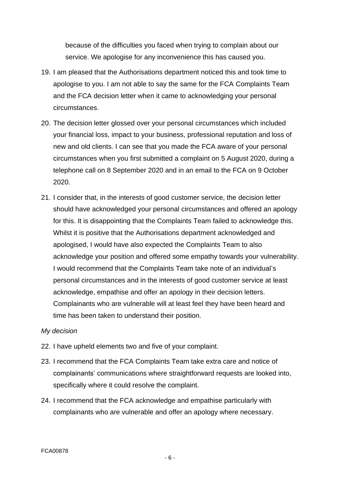because of the difficulties you faced when trying to complain about our service. We apologise for any inconvenience this has caused you.

- 19. I am pleased that the Authorisations department noticed this and took time to apologise to you. I am not able to say the same for the FCA Complaints Team and the FCA decision letter when it came to acknowledging your personal circumstances.
- 20. The decision letter glossed over your personal circumstances which included your financial loss, impact to your business, professional reputation and loss of new and old clients. I can see that you made the FCA aware of your personal circumstances when you first submitted a complaint on 5 August 2020, during a telephone call on 8 September 2020 and in an email to the FCA on 9 October 2020.
- 21. I consider that, in the interests of good customer service, the decision letter should have acknowledged your personal circumstances and offered an apology for this. It is disappointing that the Complaints Team failed to acknowledge this. Whilst it is positive that the Authorisations department acknowledged and apologised, I would have also expected the Complaints Team to also acknowledge your position and offered some empathy towards your vulnerability. I would recommend that the Complaints Team take note of an individual's personal circumstances and in the interests of good customer service at least acknowledge, empathise and offer an apology in their decision letters. Complainants who are vulnerable will at least feel they have been heard and time has been taken to understand their position.

#### *My decision*

- 22. I have upheld elements two and five of your complaint.
- 23. I recommend that the FCA Complaints Team take extra care and notice of complainants' communications where straightforward requests are looked into, specifically where it could resolve the complaint.
- 24. I recommend that the FCA acknowledge and empathise particularly with complainants who are vulnerable and offer an apology where necessary.